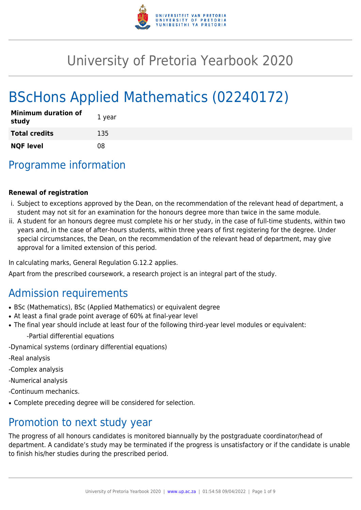

# University of Pretoria Yearbook 2020

# BScHons Applied Mathematics (02240172)

| <b>Minimum duration of</b><br>study | 1 year |
|-------------------------------------|--------|
| <b>Total credits</b>                | 135    |
| <b>NQF level</b>                    | 08     |

## Programme information

#### **Renewal of registration**

- i. Subject to exceptions approved by the Dean, on the recommendation of the relevant head of department, a student may not sit for an examination for the honours degree more than twice in the same module.
- ii. A student for an honours degree must complete his or her study, in the case of full-time students, within two years and, in the case of after-hours students, within three years of first registering for the degree. Under special circumstances, the Dean, on the recommendation of the relevant head of department, may give approval for a limited extension of this period.

In calculating marks, General Regulation G.12.2 applies.

Apart from the prescribed coursework, a research project is an integral part of the study.

### Admission requirements

- BSc (Mathematics), BSc (Applied Mathematics) or equivalent degree
- At least a final grade point average of 60% at final-year level
- The final year should include at least four of the following third-year level modules or equivalent:
	- -Partial differential equations
- -Dynamical systems (ordinary differential equations)
- -Real analysis
- -Complex analysis
- -Numerical analysis
- -Continuum mechanics.
- Complete preceding degree will be considered for selection.

### Promotion to next study year

The progress of all honours candidates is monitored biannually by the postgraduate coordinator/head of department. A candidate's study may be terminated if the progress is unsatisfactory or if the candidate is unable to finish his/her studies during the prescribed period.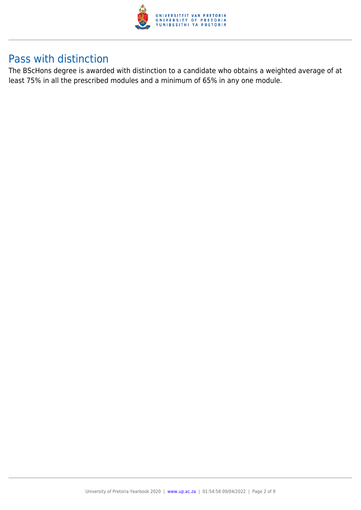

### Pass with distinction

The BScHons degree is awarded with distinction to a candidate who obtains a weighted average of at least 75% in all the prescribed modules and a minimum of 65% in any one module.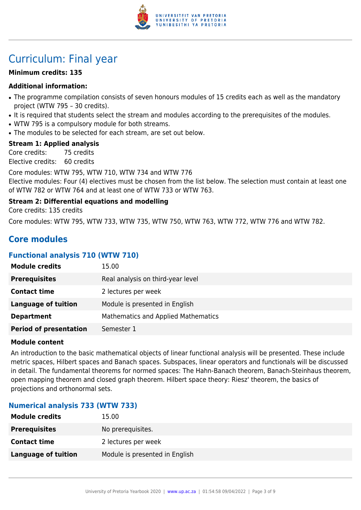

## Curriculum: Final year

#### **Minimum credits: 135**

#### **Additional information:**

- The programme compilation consists of seven honours modules of 15 credits each as well as the mandatory project (WTW 795 – 30 credits).
- It is required that students select the stream and modules according to the prerequisites of the modules.
- WTW 795 is a compulsory module for both streams.
- The modules to be selected for each stream, are set out below.

#### **Stream 1: Applied analysis**

Core credits: 75 credits Elective credits: 60 credits

Core modules: WTW 795, WTW 710, WTW 734 and WTW 776 Elective modules: Four (4) electives must be chosen from the list below. The selection must contain at least one of WTW 782 or WTW 764 and at least one of WTW 733 or WTW 763.

#### **Stream 2: Differential equations and modelling**

Core credits: 135 credits

Core modules: WTW 795, WTW 733, WTW 735, WTW 750, WTW 763, WTW 772, WTW 776 and WTW 782.

### **Core modules**

#### **Functional analysis 710 (WTW 710)**

| <b>Module credits</b>         | 15.00                               |
|-------------------------------|-------------------------------------|
| <b>Prerequisites</b>          | Real analysis on third-year level   |
| <b>Contact time</b>           | 2 lectures per week                 |
| <b>Language of tuition</b>    | Module is presented in English      |
| <b>Department</b>             | Mathematics and Applied Mathematics |
| <b>Period of presentation</b> | Semester 1                          |

#### **Module content**

An introduction to the basic mathematical objects of linear functional analysis will be presented. These include metric spaces, Hilbert spaces and Banach spaces. Subspaces, linear operators and functionals will be discussed in detail. The fundamental theorems for normed spaces: The Hahn-Banach theorem, Banach-Steinhaus theorem, open mapping theorem and closed graph theorem. Hilbert space theory: Riesz' theorem, the basics of projections and orthonormal sets.

#### **Numerical analysis 733 (WTW 733)**

| <b>Module credits</b>      | 15.00                          |
|----------------------------|--------------------------------|
| <b>Prerequisites</b>       | No prerequisites.              |
| <b>Contact time</b>        | 2 lectures per week            |
| <b>Language of tuition</b> | Module is presented in English |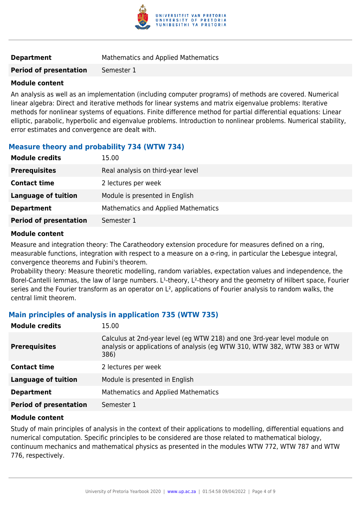

**Period of presentation** Semester 1

#### **Module content**

An analysis as well as an implementation (including computer programs) of methods are covered. Numerical linear algebra: Direct and iterative methods for linear systems and matrix eigenvalue problems: Iterative methods for nonlinear systems of equations. Finite difference method for partial differential equations: Linear elliptic, parabolic, hyperbolic and eigenvalue problems. Introduction to nonlinear problems. Numerical stability, error estimates and convergence are dealt with.

#### **Measure theory and probability 734 (WTW 734)**

| <b>Module credits</b>         | 15.00                               |
|-------------------------------|-------------------------------------|
| <b>Prerequisites</b>          | Real analysis on third-year level   |
| <b>Contact time</b>           | 2 lectures per week                 |
| <b>Language of tuition</b>    | Module is presented in English      |
| <b>Department</b>             | Mathematics and Applied Mathematics |
| <b>Period of presentation</b> | Semester 1                          |

#### **Module content**

Measure and integration theory: The Caratheodory extension procedure for measures defined on a ring, measurable functions, integration with respect to a measure on a σ-ring, in particular the Lebesgue integral, convergence theorems and Fubini's theorem.

Probability theory: Measure theoretic modelling, random variables, expectation values and independence, the Borel-Cantelli lemmas, the law of large numbers. L<sup>1</sup>-theory, L<sup>2</sup>-theory and the geometry of Hilbert space, Fourier series and the Fourier transform as an operator on L<sup>2</sup>, applications of Fourier analysis to random walks, the central limit theorem.

#### **Main principles of analysis in application 735 (WTW 735)**

| <b>Module credits</b>         | 15.00                                                                                                                                                         |
|-------------------------------|---------------------------------------------------------------------------------------------------------------------------------------------------------------|
| <b>Prerequisites</b>          | Calculus at 2nd-year level (eg WTW 218) and one 3rd-year level module on<br>analysis or applications of analysis (eq WTW 310, WTW 382, WTW 383 or WTW<br>386) |
| <b>Contact time</b>           | 2 lectures per week                                                                                                                                           |
| <b>Language of tuition</b>    | Module is presented in English                                                                                                                                |
| <b>Department</b>             | Mathematics and Applied Mathematics                                                                                                                           |
| <b>Period of presentation</b> | Semester 1                                                                                                                                                    |

#### **Module content**

Study of main principles of analysis in the context of their applications to modelling, differential equations and numerical computation. Specific principles to be considered are those related to mathematical biology, continuum mechanics and mathematical physics as presented in the modules WTW 772, WTW 787 and WTW 776, respectively.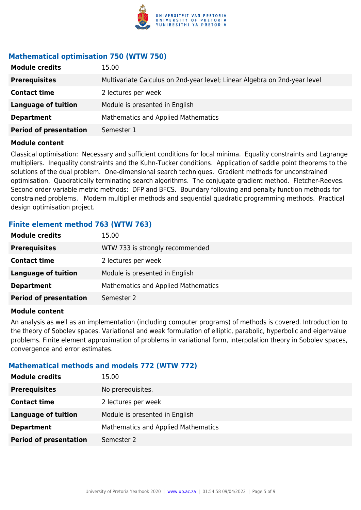

#### **Mathematical optimisation 750 (WTW 750)**

| <b>Module credits</b>         | 15.00                                                                     |
|-------------------------------|---------------------------------------------------------------------------|
| <b>Prerequisites</b>          | Multivariate Calculus on 2nd-year level; Linear Algebra on 2nd-year level |
| <b>Contact time</b>           | 2 lectures per week                                                       |
| <b>Language of tuition</b>    | Module is presented in English                                            |
| <b>Department</b>             | <b>Mathematics and Applied Mathematics</b>                                |
| <b>Period of presentation</b> | Semester 1                                                                |

#### **Module content**

Classical optimisation: Necessary and sufficient conditions for local minima. Equality constraints and Lagrange multipliers. Inequality constraints and the Kuhn-Tucker conditions. Application of saddle point theorems to the solutions of the dual problem. One-dimensional search techniques. Gradient methods for unconstrained optimisation. Quadratically terminating search algorithms. The conjugate gradient method. Fletcher-Reeves. Second order variable metric methods: DFP and BFCS. Boundary following and penalty function methods for constrained problems. Modern multiplier methods and sequential quadratic programming methods. Practical design optimisation project.

#### **Finite element method 763 (WTW 763)**

| <b>Module credits</b>         | 15.00                                      |
|-------------------------------|--------------------------------------------|
| <b>Prerequisites</b>          | WTW 733 is strongly recommended            |
| <b>Contact time</b>           | 2 lectures per week                        |
| <b>Language of tuition</b>    | Module is presented in English             |
| <b>Department</b>             | <b>Mathematics and Applied Mathematics</b> |
| <b>Period of presentation</b> | Semester 2                                 |

#### **Module content**

An analysis as well as an implementation (including computer programs) of methods is covered. Introduction to the theory of Sobolev spaces. Variational and weak formulation of elliptic, parabolic, hyperbolic and eigenvalue problems. Finite element approximation of problems in variational form, interpolation theory in Sobolev spaces, convergence and error estimates.

#### **Mathematical methods and models 772 (WTW 772)**

| <b>Module credits</b>         | 15.00                                      |
|-------------------------------|--------------------------------------------|
| <b>Prerequisites</b>          | No prerequisites.                          |
| <b>Contact time</b>           | 2 lectures per week                        |
| <b>Language of tuition</b>    | Module is presented in English             |
| <b>Department</b>             | <b>Mathematics and Applied Mathematics</b> |
| <b>Period of presentation</b> | Semester 2                                 |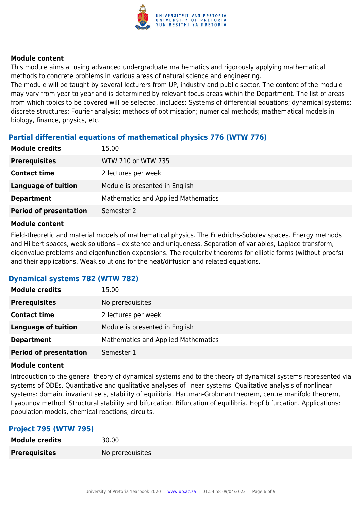

#### **Module content**

This module aims at using advanced undergraduate mathematics and rigorously applying mathematical methods to concrete problems in various areas of natural science and engineering.

The module will be taught by several lecturers from UP, industry and public sector. The content of the module may vary from year to year and is determined by relevant focus areas within the Department. The list of areas from which topics to be covered will be selected, includes: Systems of differential equations; dynamical systems; discrete structures; Fourier analysis; methods of optimisation; numerical methods; mathematical models in biology, finance, physics, etc.

#### **Partial differential equations of mathematical physics 776 (WTW 776)**

| <b>Module credits</b>         | 15.00                                      |
|-------------------------------|--------------------------------------------|
| <b>Prerequisites</b>          | WTW 710 or WTW 735                         |
| <b>Contact time</b>           | 2 lectures per week                        |
| <b>Language of tuition</b>    | Module is presented in English             |
| <b>Department</b>             | <b>Mathematics and Applied Mathematics</b> |
| <b>Period of presentation</b> | Semester 2                                 |

#### **Module content**

Field-theoretic and material models of mathematical physics. The Friedrichs-Sobolev spaces. Energy methods and Hilbert spaces, weak solutions – existence and uniqueness. Separation of variables, Laplace transform, eigenvalue problems and eigenfunction expansions. The regularity theorems for elliptic forms (without proofs) and their applications. Weak solutions for the heat/diffusion and related equations.

#### **Dynamical systems 782 (WTW 782)**

| <b>Module credits</b>         | 15.00                               |
|-------------------------------|-------------------------------------|
| <b>Prerequisites</b>          | No prerequisites.                   |
| <b>Contact time</b>           | 2 lectures per week                 |
| <b>Language of tuition</b>    | Module is presented in English      |
| <b>Department</b>             | Mathematics and Applied Mathematics |
| <b>Period of presentation</b> | Semester 1                          |

#### **Module content**

Introduction to the general theory of dynamical systems and to the theory of dynamical systems represented via systems of ODEs. Quantitative and qualitative analyses of linear systems. Qualitative analysis of nonlinear systems: domain, invariant sets, stability of equilibria, Hartman-Grobman theorem, centre manifold theorem, Lyapunov method. Structural stability and bifurcation. Bifurcation of equilibria. Hopf bifurcation. Applications: population models, chemical reactions, circuits.

#### **Project 795 (WTW 795)**

| <b>Module credits</b> | 30.00             |
|-----------------------|-------------------|
| <b>Prerequisites</b>  | No prerequisites. |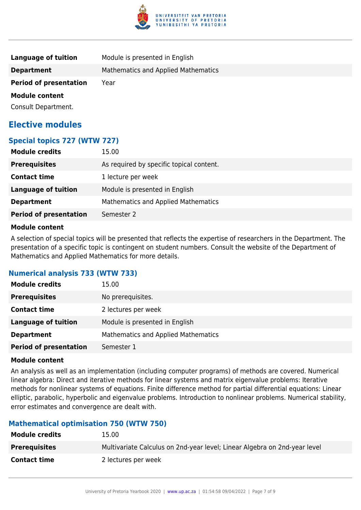

| Language of tuition           | Module is presented in English      |
|-------------------------------|-------------------------------------|
| <b>Department</b>             | Mathematics and Applied Mathematics |
| <b>Period of presentation</b> | Year                                |
| <b>Module content</b>         |                                     |
| Consult Department.           |                                     |

### **Elective modules**

#### **Special topics 727 (WTW 727)**

| <b>Prerequisites</b><br>As required by specific topical content. |  |
|------------------------------------------------------------------|--|
| <b>Contact time</b><br>1 lecture per week                        |  |
| Module is presented in English<br><b>Language of tuition</b>     |  |
| Mathematics and Applied Mathematics<br><b>Department</b>         |  |
| <b>Period of presentation</b><br>Semester 2                      |  |

#### **Module content**

A selection of special topics will be presented that reflects the expertise of researchers in the Department. The presentation of a specific topic is contingent on student numbers. Consult the website of the Department of Mathematics and Applied Mathematics for more details.

#### **Numerical analysis 733 (WTW 733)**

| <b>Module credits</b>         | 15.00                                      |
|-------------------------------|--------------------------------------------|
| <b>Prerequisites</b>          | No prerequisites.                          |
| <b>Contact time</b>           | 2 lectures per week                        |
| Language of tuition           | Module is presented in English             |
| <b>Department</b>             | <b>Mathematics and Applied Mathematics</b> |
| <b>Period of presentation</b> | Semester 1                                 |

#### **Module content**

An analysis as well as an implementation (including computer programs) of methods are covered. Numerical linear algebra: Direct and iterative methods for linear systems and matrix eigenvalue problems: Iterative methods for nonlinear systems of equations. Finite difference method for partial differential equations: Linear elliptic, parabolic, hyperbolic and eigenvalue problems. Introduction to nonlinear problems. Numerical stability, error estimates and convergence are dealt with.

#### **Mathematical optimisation 750 (WTW 750)**

| <b>Module credits</b> | 15.00                                                                     |
|-----------------------|---------------------------------------------------------------------------|
| <b>Prerequisites</b>  | Multivariate Calculus on 2nd-year level; Linear Algebra on 2nd-year level |
| <b>Contact time</b>   | 2 lectures per week                                                       |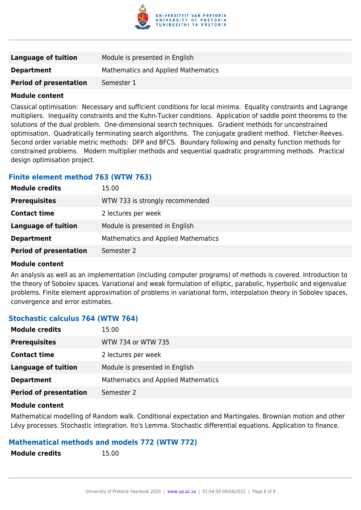

| Language of tuition           | Module is presented in English      |
|-------------------------------|-------------------------------------|
| <b>Department</b>             | Mathematics and Applied Mathematics |
| <b>Period of presentation</b> | Semester 1                          |

#### **Module content**

Classical optimisation: Necessary and sufficient conditions for local minima. Equality constraints and Lagrange multipliers. Inequality constraints and the Kuhn-Tucker conditions. Application of saddle point theorems to the solutions of the dual problem. One-dimensional search techniques. Gradient methods for unconstrained optimisation. Quadratically terminating search algorithms. The conjugate gradient method. Fletcher-Reeves. Second order variable metric methods: DFP and BFCS. Boundary following and penalty function methods for constrained problems. Modern multiplier methods and sequential quadratic programming methods. Practical design optimisation project.

#### **Finite element method 763 (WTW 763)**

| <b>Module credits</b>         | 15.00                               |
|-------------------------------|-------------------------------------|
| <b>Prerequisites</b>          | WTW 733 is strongly recommended     |
| <b>Contact time</b>           | 2 lectures per week                 |
| <b>Language of tuition</b>    | Module is presented in English      |
| <b>Department</b>             | Mathematics and Applied Mathematics |
| <b>Period of presentation</b> | Semester 2                          |

#### **Module content**

An analysis as well as an implementation (including computer programs) of methods is covered. Introduction to the theory of Sobolev spaces. Variational and weak formulation of elliptic, parabolic, hyperbolic and eigenvalue problems. Finite element approximation of problems in variational form, interpolation theory in Sobolev spaces, convergence and error estimates.

#### **Stochastic calculus 764 (WTW 764)**

| <b>Module credits</b>         | 15.00                                      |
|-------------------------------|--------------------------------------------|
| <b>Prerequisites</b>          | WTW 734 or WTW 735                         |
| <b>Contact time</b>           | 2 lectures per week                        |
| <b>Language of tuition</b>    | Module is presented in English             |
| <b>Department</b>             | <b>Mathematics and Applied Mathematics</b> |
| <b>Period of presentation</b> | Semester 2                                 |

#### **Module content**

Mathematical modelling of Random walk. Conditional expectation and Martingales. Brownian motion and other Lévy processes. Stochastic integration. Ito's Lemma. Stochastic differential equations. Application to finance.

#### **Mathematical methods and models 772 (WTW 772)**

**Module credits** 15.00